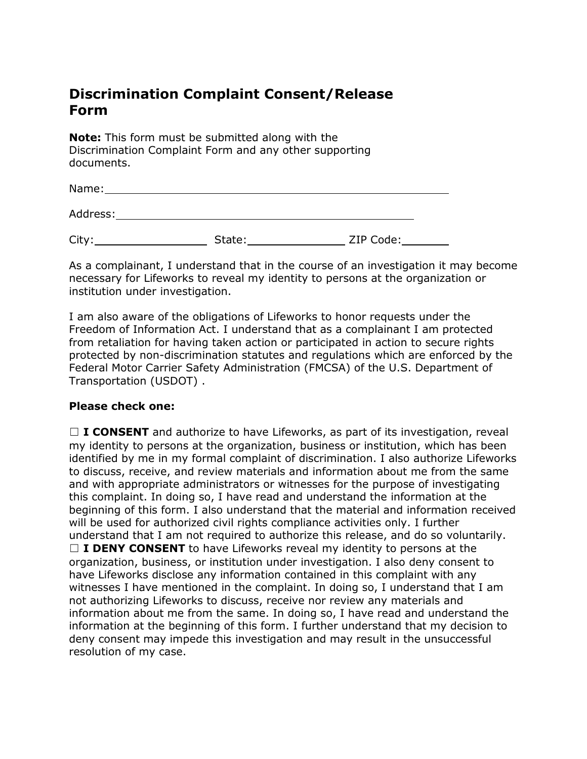## **Discrimination Complaint Consent/Release Form**

**Note:** This form must be submitted along with the Discrimination Complaint Form and any other supporting documents.

| Name:    |        |           |  |
|----------|--------|-----------|--|
| Address: |        |           |  |
| City:    | State: | ZIP Code: |  |

As a complainant, I understand that in the course of an investigation it may become necessary for Lifeworks to reveal my identity to persons at the organization or institution under investigation.

I am also aware of the obligations of Lifeworks to honor requests under the Freedom of Information Act. I understand that as a complainant I am protected from retaliation for having taken action or participated in action to secure rights protected by non-discrimination statutes and regulations which are enforced by the Federal Motor Carrier Safety Administration (FMCSA) of the U.S. Department of Transportation (USDOT) .

## **Please check one:**

□ **I CONSENT** and authorize to have Lifeworks, as part of its investigation, reveal my identity to persons at the organization, business or institution, which has been identified by me in my formal complaint of discrimination. I also authorize Lifeworks to discuss, receive, and review materials and information about me from the same and with appropriate administrators or witnesses for the purpose of investigating this complaint. In doing so, I have read and understand the information at the beginning of this form. I also understand that the material and information received will be used for authorized civil rights compliance activities only. I further understand that I am not required to authorize this release, and do so voluntarily. □ **I DENY CONSENT** to have Lifeworks reveal my identity to persons at the organization, business, or institution under investigation. I also deny consent to have Lifeworks disclose any information contained in this complaint with any witnesses I have mentioned in the complaint. In doing so, I understand that I am not authorizing Lifeworks to discuss, receive nor review any materials and information about me from the same. In doing so, I have read and understand the information at the beginning of this form. I further understand that my decision to deny consent may impede this investigation and may result in the unsuccessful resolution of my case.